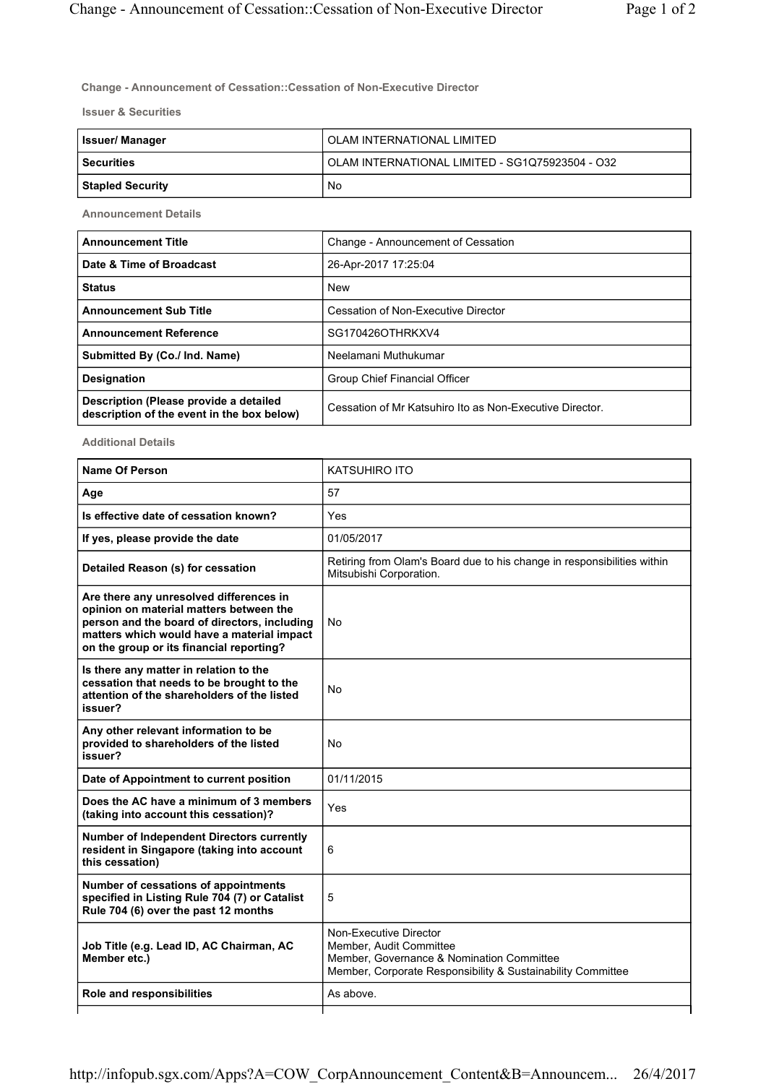Change - Announcement of Cessation::Cessation of Non-Executive Director

Issuer & Securities

| <b>Issuer/Manager</b> | OLAM INTERNATIONAL LIMITED                      |
|-----------------------|-------------------------------------------------|
| <b>Securities</b>     | OLAM INTERNATIONAL LIMITED - SG1Q75923504 - O32 |
| Stapled Security      | No                                              |

Announcement Details

| <b>Announcement Title</b>                                                            | Change - Announcement of Cessation                       |
|--------------------------------------------------------------------------------------|----------------------------------------------------------|
| Date & Time of Broadcast                                                             | 26-Apr-2017 17:25:04                                     |
| <b>Status</b>                                                                        | <b>New</b>                                               |
| <b>Announcement Sub Title</b>                                                        | Cessation of Non-Executive Director                      |
| <b>Announcement Reference</b>                                                        | SG170426OTHRKXV4                                         |
| Submitted By (Co./ Ind. Name)                                                        | Neelamani Muthukumar                                     |
| <b>Designation</b>                                                                   | Group Chief Financial Officer                            |
| Description (Please provide a detailed<br>description of the event in the box below) | Cessation of Mr Katsuhiro Ito as Non-Executive Director. |

Additional Details

| <b>Name Of Person</b>                                                                                                                                                                                                        | <b>KATSUHIRO ITO</b>                                                                                                                                          |
|------------------------------------------------------------------------------------------------------------------------------------------------------------------------------------------------------------------------------|---------------------------------------------------------------------------------------------------------------------------------------------------------------|
| Age                                                                                                                                                                                                                          | 57                                                                                                                                                            |
| Is effective date of cessation known?                                                                                                                                                                                        | Yes                                                                                                                                                           |
| If yes, please provide the date                                                                                                                                                                                              | 01/05/2017                                                                                                                                                    |
| Detailed Reason (s) for cessation                                                                                                                                                                                            | Retiring from Olam's Board due to his change in responsibilities within<br>Mitsubishi Corporation.                                                            |
| Are there any unresolved differences in<br>opinion on material matters between the<br>person and the board of directors, including<br>matters which would have a material impact<br>on the group or its financial reporting? | No                                                                                                                                                            |
| Is there any matter in relation to the<br>cessation that needs to be brought to the<br>attention of the shareholders of the listed<br>issuer?                                                                                | No                                                                                                                                                            |
| Any other relevant information to be<br>provided to shareholders of the listed<br>issuer?                                                                                                                                    | No                                                                                                                                                            |
| Date of Appointment to current position                                                                                                                                                                                      | 01/11/2015                                                                                                                                                    |
| Does the AC have a minimum of 3 members<br>(taking into account this cessation)?                                                                                                                                             | Yes                                                                                                                                                           |
| <b>Number of Independent Directors currently</b><br>resident in Singapore (taking into account<br>this cessation)                                                                                                            | 6                                                                                                                                                             |
| Number of cessations of appointments<br>specified in Listing Rule 704 (7) or Catalist<br>Rule 704 (6) over the past 12 months                                                                                                | 5                                                                                                                                                             |
| Job Title (e.g. Lead ID, AC Chairman, AC<br>Member etc.)                                                                                                                                                                     | Non-Executive Director<br>Member, Audit Committee<br>Member, Governance & Nomination Committee<br>Member, Corporate Responsibility & Sustainability Committee |
| Role and responsibilities                                                                                                                                                                                                    | As above.                                                                                                                                                     |
|                                                                                                                                                                                                                              |                                                                                                                                                               |